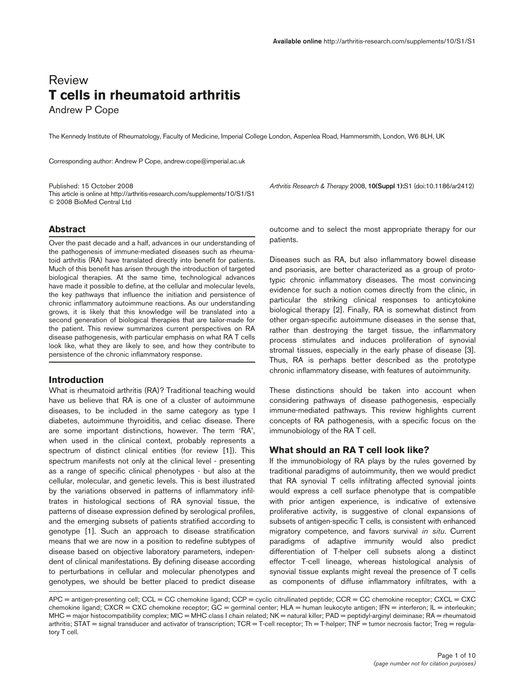# Review **T cells in rheumatoid arthritis**

Andrew P Cope

The Kennedy Institute of Rheumatology, Faculty of Medicine, Imperial College London, Aspenlea Road, Hammersmith, London, W6 8LH, UK

Corresponding author: Andrew P Cope, andrew.cope@imperial.ac.uk

This article is online at http://arthritis-research.com/supplements/10/S1/S1 © 2008 BioMed Central Ltd

Published: 15 October 2008 *Arthritis Research & Therapy* 2008, **10(Suppl 1):**S1 (doi:10.1186/ar2412)

# **Abstract**

Over the past decade and a half, advances in our understanding of the pathogenesis of immune-mediated diseases such as rheumatoid arthritis (RA) have translated directly into benefit for patients. Much of this benefit has arisen through the introduction of targeted biological therapies. At the same time, technological advances have made it possible to define, at the cellular and molecular levels, the key pathways that influence the initiation and persistence of chronic inflammatory autoimmune reactions. As our understanding grows, it is likely that this knowledge will be translated into a second generation of biological therapies that are tailor-made for the patient. This review summarizes current perspectives on RA disease pathogenesis, with particular emphasis on what RA T cells look like, what they are likely to see, and how they contribute to persistence of the chronic inflammatory response.

## **Introduction**

What is rheumatoid arthritis (RA)? Traditional teaching would have us believe that RA is one of a cluster of autoimmune diseases, to be included in the same category as type I diabetes, autoimmune thyroiditis, and celiac disease. There are some important distinctions, however. The term 'RA', when used in the clinical context, probably represents a spectrum of distinct clinical entities (for review [1]). This spectrum manifests not only at the clinical level - presenting as a range of specific clinical phenotypes - but also at the cellular, molecular, and genetic levels. This is best illustrated by the variations observed in patterns of inflammatory infiltrates in histological sections of RA synovial tissue, the patterns of disease expression defined by serological profiles, and the emerging subsets of patients stratified according to genotype [1]. Such an approach to disease stratification means that we are now in a position to redefine subtypes of disease based on objective laboratory parameters, independent of clinical manifestations. By defining disease according to perturbations in cellular and molecular phenotypes and genotypes, we should be better placed to predict disease

outcome and to select the most appropriate therapy for our patients.

Diseases such as RA, but also inflammatory bowel disease and psoriasis, are better characterized as a group of prototypic chronic inflammatory diseases. The most convincing evidence for such a notion comes directly from the clinic, in particular the striking clinical responses to anticytokine biological therapy [2]. Finally, RA is somewhat distinct from other organ-specific autoimmune diseases in the sense that, rather than destroying the target tissue, the inflammatory process stimulates and induces proliferation of synovial stromal tissues, especially in the early phase of disease [3]. Thus, RA is perhaps better described as the prototype chronic inflammatory disease, with features of autoimmunity.

These distinctions should be taken into account when considering pathways of disease pathogenesis, especially immune-mediated pathways. This review highlights current concepts of RA pathogenesis, with a specific focus on the immunobiology of the RA T cell.

# **What should an RA T cell look like?**

If the immunobiology of RA plays by the rules governed by traditional paradigms of autoimmunity, then we would predict that RA synovial T cells infiltrating affected synovial joints would express a cell surface phenotype that is compatible with prior antigen experience, is indicative of extensive proliferative activity, is suggestive of clonal expansions of subsets of antigen-specific T cells, is consistent with enhanced migratory competence, and favors survival *in situ*. Current paradigms of adaptive immunity would also predict differentiation of T-helper cell subsets along a distinct effector T-cell lineage, whereas histological analysis of synovial tissue explants might reveal the presence of T cells as components of diffuse inflammatory infiltrates, with a

APC = antigen-presenting cell; CCL = CC chemokine ligand; CCP = cyclic citrullinated peptide; CCR = CC chemokine receptor; CXCL = CXC chemokine ligand; CXCR = CXC chemokine receptor; GC = germinal center; HLA = human leukocyte antigen; IFN = interferon; IL = interleukin; MHC = major histocompatibility complex; MIC = MHC class I chain related; NK = natural killer; PAD = peptidyl-arginyl deiminase; RA = rheumatoid arthritis; STAT = signal transducer and activator of transcription; TCR = T-cell receptor; Th = T-helper; TNF = tumor necrosis factor; Treg = regulatory T cell.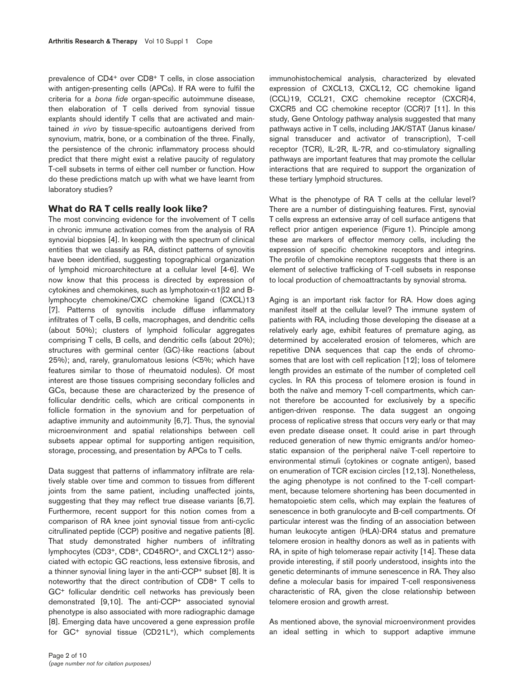prevalence of CD4+ over CD8+ T cells, in close association with antigen-presenting cells (APCs). If RA were to fulfil the criteria for a *bona fide* organ-specific autoimmune disease, then elaboration of T cells derived from synovial tissue explants should identify T cells that are activated and maintained *in vivo* by tissue-specific autoantigens derived from synovium, matrix, bone, or a combination of the three. Finally, the persistence of the chronic inflammatory process should predict that there might exist a relative paucity of regulatory T-cell subsets in terms of either cell number or function. How do these predictions match up with what we have learnt from laboratory studies?

# **What do RA T cells really look like?**

The most convincing evidence for the involvement of T cells in chronic immune activation comes from the analysis of RA synovial biopsies [4]. In keeping with the spectrum of clinical entities that we classify as RA, distinct patterns of synovitis have been identified, suggesting topographical organization of lymphoid microarchitecture at a cellular level [4-6]. We now know that this process is directed by expression of cytokines and chemokines, such as lymphotoxin-α1β2 and Blymphocyte chemokine/CXC chemokine ligand (CXCL)13 [7]. Patterns of synovitis include diffuse inflammatory infiltrates of T cells, B cells, macrophages, and dendritic cells (about 50%); clusters of lymphoid follicular aggregates comprising T cells, B cells, and dendritic cells (about 20%); structures with germinal center (GC)-like reactions (about 25%); and, rarely, granulomatous lesions (<5%; which have features similar to those of rheumatoid nodules). Of most interest are those tissues comprising secondary follicles and GCs, because these are characterized by the presence of follicular dendritic cells, which are critical components in follicle formation in the synovium and for perpetuation of adaptive immunity and autoimmunity [6,7]. Thus, the synovial microenvironment and spatial relationships between cell subsets appear optimal for supporting antigen requisition, storage, processing, and presentation by APCs to T cells.

Data suggest that patterns of inflammatory infiltrate are relatively stable over time and common to tissues from different joints from the same patient, including unaffected joints, suggesting that they may reflect true disease variants [6,7]. Furthermore, recent support for this notion comes from a comparison of RA knee joint synovial tissue from anti-cyclic citrullinated peptide (CCP) positive and negative patients [8]. That study demonstrated higher numbers of infiltrating lymphocytes (CD3+, CD8+, CD45RO+, and CXCL12+) associated with ectopic GC reactions, less extensive fibrosis, and a thinner synovial lining layer in the anti-CCP+ subset [8]. It is noteworthy that the direct contribution of CD8+ T cells to GC+ follicular dendritic cell networks has previously been demonstrated [9,10]. The anti-CCP+ associated synovial phenotype is also associated with more radiographic damage [8]. Emerging data have uncovered a gene expression profile for GC<sup>+</sup> synovial tissue (CD21L<sup>+</sup>), which complements

immunohistochemical analysis, characterized by elevated expression of CXCL13, CXCL12, CC chemokine ligand (CCL)19, CCL21, CXC chemokine receptor (CXCR)4, CXCR5 and CC chemokine receptor (CCR)7 [11]. In this study, Gene Ontology pathway analysis suggested that many pathways active in T cells, including JAK/STAT (Janus kinase/ signal transducer and activator of transcription), T-cell receptor (TCR), IL-2R, IL-7R, and co-stimulatory signalling pathways are important features that may promote the cellular interactions that are required to support the organization of these tertiary lymphoid structures.

What is the phenotype of RA T cells at the cellular level? There are a number of distinguishing features. First, synovial T cells express an extensive array of cell surface antigens that reflect prior antigen experience (Figure 1). Principle among these are markers of effector memory cells, including the expression of specific chemokine receptors and integrins. The profile of chemokine receptors suggests that there is an element of selective trafficking of T-cell subsets in response to local production of chemoattractants by synovial stroma.

Aging is an important risk factor for RA. How does aging manifest itself at the cellular level? The immune system of patients with RA, including those developing the disease at a relatively early age, exhibit features of premature aging, as determined by accelerated erosion of telomeres, which are repetitive DNA sequences that cap the ends of chromosomes that are lost with cell replication [12]; loss of telomere length provides an estimate of the number of completed cell cycles. In RA this process of telomere erosion is found in both the naïve and memory T-cell compartments, which cannot therefore be accounted for exclusively by a specific antigen-driven response. The data suggest an ongoing process of replicative stress that occurs very early or that may even predate disease onset. It could arise in part through reduced generation of new thymic emigrants and/or homeostatic expansion of the peripheral naïve T-cell repertoire to environmental stimuli (cytokines or cognate antigen), based on enumeration of TCR excision circles [12,13]. Nonetheless, the aging phenotype is not confined to the T-cell compartment, because telomere shortening has been documented in hematopoietic stem cells, which may explain the features of senescence in both granulocyte and B-cell compartments. Of particular interest was the finding of an association between human leukocyte antigen (HLA)-DR4 status and premature telomere erosion in healthy donors as well as in patients with RA, in spite of high telomerase repair activity [14]. These data provide interesting, if still poorly understood, insights into the genetic determinants of immune senescence in RA. They also define a molecular basis for impaired T-cell responsiveness characteristic of RA, given the close relationship between telomere erosion and growth arrest.

As mentioned above, the synovial microenvironment provides an ideal setting in which to support adaptive immune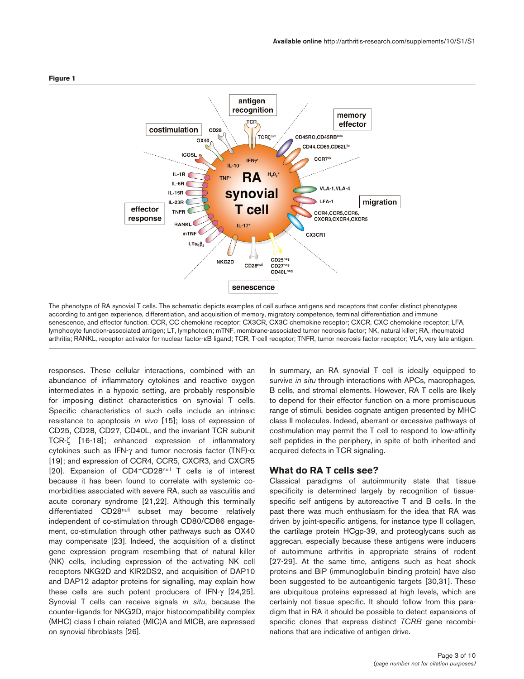

The phenotype of RA synovial T cells. The schematic depicts examples of cell surface antigens and receptors that confer distinct phenotypes according to antigen experience, differentiation, and acquisition of memory, migratory competence, terminal differentiation and immune senescence, and effector function. CCR, CC chemokine receptor; CX3CR, CX3C chemokine receptor; CXCR, CXC chemokine receptor; LFA, lymphocyte function-associated antigen; LT, lymphotoxin; mTNF, membrane-associated tumor necrosis factor; NK, natural killer; RA, rheumatoid arthritis; RANKL, receptor activator for nuclear factor-κB ligand; TCR, T-cell receptor; TNFR, tumor necrosis factor receptor; VLA, very late antigen.

responses. These cellular interactions, combined with an abundance of inflammatory cytokines and reactive oxygen intermediates in a hypoxic setting, are probably responsible for imposing distinct characteristics on synovial T cells. Specific characteristics of such cells include an intrinsic resistance to apoptosis *in vivo* [15]; loss of expression of CD25, CD28, CD27, CD40L, and the invariant TCR subunit TCR-ζ [16-18]; enhanced expression of inflammatory cytokines such as IFN-γ and tumor necrosis factor (TNF)-α [19]; and expression of CCR4, CCR5, CXCR3, and CXCR5 [20]. Expansion of CD4+CD28<sup>null</sup> T cells is of interest because it has been found to correlate with systemic comorbidities associated with severe RA, such as vasculitis and acute coronary syndrome [21,22]. Although this terminally differentiated CD28<sup>null</sup> subset may become relatively independent of co-stimulation through CD80/CD86 engagement, co-stimulation through other pathways such as OX40 may compensate [23]. Indeed, the acquisition of a distinct gene expression program resembling that of natural killer (NK) cells, including expression of the activating NK cell receptors NKG2D and KIR2DS2, and acquisition of DAP10 and DAP12 adaptor proteins for signalling, may explain how these cells are such potent producers of IFN-γ [24,25]. Synovial T cells can receive signals *in situ*, because the counter-ligands for NKG2D, major histocompatibility complex (MHC) class I chain related (MIC)A and MICB, are expressed on synovial fibroblasts [26].

In summary, an RA synovial T cell is ideally equipped to survive *in situ* through interactions with APCs, macrophages, B cells, and stromal elements. However, RA T cells are likely to depend for their effector function on a more promiscuous range of stimuli, besides cognate antigen presented by MHC class II molecules. Indeed, aberrant or excessive pathways of costimulation may permit the T cell to respond to low-affinity self peptides in the periphery, in spite of both inherited and acquired defects in TCR signaling.

## **What do RA T cells see?**

Classical paradigms of autoimmunity state that tissue specificity is determined largely by recognition of tissuespecific self antigens by autoreactive T and B cells. In the past there was much enthusiasm for the idea that RA was driven by joint-specific antigens, for instance type II collagen, the cartilage protein HCgp-39, and proteoglycans such as aggrecan, especially because these antigens were inducers of autoimmune arthritis in appropriate strains of rodent [27-29]. At the same time, antigens such as heat shock proteins and BiP (immunoglobulin binding protein) have also been suggested to be autoantigenic targets [30,31]. These are ubiquitous proteins expressed at high levels, which are certainly not tissue specific. It should follow from this paradigm that in RA it should be possible to detect expansions of specific clones that express distinct *TCRB* gene recombinations that are indicative of antigen drive.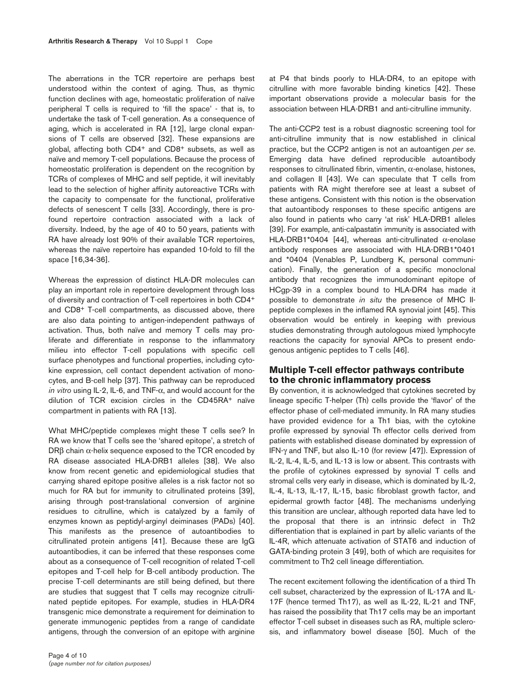The aberrations in the TCR repertoire are perhaps best understood within the context of aging. Thus, as thymic function declines with age, homeostatic proliferation of naïve peripheral T cells is required to 'fill the space' - that is, to undertake the task of T-cell generation. As a consequence of aging, which is accelerated in RA [12], large clonal expansions of T cells are observed [32]. These expansions are global, affecting both CD4+ and CD8+ subsets, as well as naïve and memory T-cell populations. Because the process of homeostatic proliferation is dependent on the recognition by TCRs of complexes of MHC and self peptide, it will inevitably lead to the selection of higher affinity autoreactive TCRs with the capacity to compensate for the functional, proliferative defects of senescent T cells [33]. Accordingly, there is profound repertoire contraction associated with a lack of diversity. Indeed, by the age of 40 to 50 years, patients with RA have already lost 90% of their available TCR repertoires, whereas the naïve repertoire has expanded 10-fold to fill the space [16,34-36].

Whereas the expression of distinct HLA-DR molecules can play an important role in repertoire development through loss of diversity and contraction of T-cell repertoires in both CD4+ and CD8+ T-cell compartments, as discussed above, there are also data pointing to antigen-independent pathways of activation. Thus, both naïve and memory T cells may proliferate and differentiate in response to the inflammatory milieu into effector T-cell populations with specific cell surface phenotypes and functional properties, including cytokine expression, cell contact dependent activation of monocytes, and B-cell help [37]. This pathway can be reproduced *in vitro* using IL-2, IL-6, and TNF-α, and would account for the dilution of TCR excision circles in the CD45RA+ naïve compartment in patients with RA [13].

What MHC/peptide complexes might these T cells see? In RA we know that T cells see the 'shared epitope', a stretch of  $DR\beta$  chain  $\alpha$ -helix sequence exposed to the TCR encoded by RA disease associated HLA-DRB1 alleles [38]. We also know from recent genetic and epidemiological studies that carrying shared epitope positive alleles is a risk factor not so much for RA but for immunity to citrullinated proteins [39], arising through post-translational conversion of arginine residues to citrulline, which is catalyzed by a family of enzymes known as peptidyl-arginyl deiminases (PADs) [40]. This manifests as the presence of autoantibodies to citrullinated protein antigens [41]. Because these are IgG autoantibodies, it can be inferred that these responses come about as a consequence of T-cell recognition of related T-cell epitopes and T-cell help for B-cell antibody production. The precise T-cell determinants are still being defined, but there are studies that suggest that T cells may recognize citrullinated peptide epitopes. For example, studies in HLA-DR4 transgenic mice demonstrate a requirement for deimination to generate immunogenic peptides from a range of candidate antigens, through the conversion of an epitope with arginine at P4 that binds poorly to HLA-DR4, to an epitope with citrulline with more favorable binding kinetics [42]. These important observations provide a molecular basis for the association between HLA-DRB1 and anti-citrulline immunity.

The anti-CCP2 test is a robust diagnostic screening tool for anti-citrulline immunity that is now established in clinical practice, but the CCP2 antigen is not an autoantigen *per se*. Emerging data have defined reproducible autoantibody responses to citrullinated fibrin, vimentin, α-enolase, histones, and collagen II [43]. We can speculate that T cells from patients with RA might therefore see at least a subset of these antigens. Consistent with this notion is the observation that autoantibody responses to these specific antigens are also found in patients who carry 'at risk' HLA-DRB1 alleles [39]. For example, anti-calpastatin immunity is associated with HLA-DRB1\*0404 [44], whereas anti-citrullinated  $α$ -enolase antibody responses are associated with HLA-DRB1\*0401 and \*0404 (Venables P, Lundberg K, personal communication). Finally, the generation of a specific monoclonal antibody that recognizes the immunodominant epitope of HCgp-39 in a complex bound to HLA-DR4 has made it possible to demonstrate *in situ* the presence of MHC IIpeptide complexes in the inflamed RA synovial joint [45]. This observation would be entirely in keeping with previous studies demonstrating through autologous mixed lymphocyte reactions the capacity for synovial APCs to present endogenous antigenic peptides to T cells [46].

# **Multiple T-cell effector pathways contribute to the chronic inflammatory process**

By convention, it is acknowledged that cytokines secreted by lineage specific T-helper (Th) cells provide the 'flavor' of the effector phase of cell-mediated immunity. In RA many studies have provided evidence for a Th1 bias, with the cytokine profile expressed by synovial Th effector cells derived from patients with established disease dominated by expression of IFN-γ and TNF, but also IL-10 (for review [47]). Expression of IL-2, IL-4, IL-5, and IL-13 is low or absent. This contrasts with the profile of cytokines expressed by synovial T cells and stromal cells very early in disease, which is dominated by IL-2, IL-4, IL-13, IL-17, IL-15, basic fibroblast growth factor, and epidermal growth factor [48]. The mechanisms underlying this transition are unclear, although reported data have led to the proposal that there is an intrinsic defect in Th2 differentiation that is explained in part by allelic variants of the IL-4R, which attenuate activation of STAT6 and induction of GATA-binding protein 3 [49], both of which are requisites for commitment to Th2 cell lineage differentiation.

The recent excitement following the identification of a third Th cell subset, characterized by the expression of IL-17A and IL-17F (hence termed Th17), as well as IL-22, IL-21 and TNF, has raised the possibility that Th17 cells may be an important effector T-cell subset in diseases such as RA, multiple sclerosis, and inflammatory bowel disease [50]. Much of the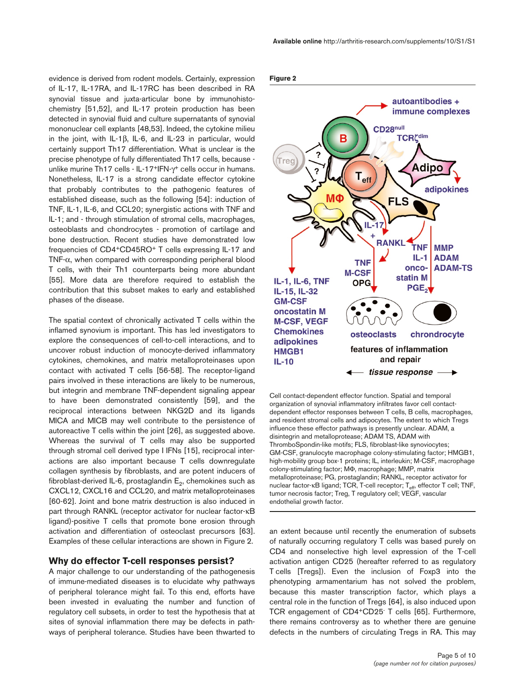evidence is derived from rodent models. Certainly, expression of IL-17, IL-17RA, and IL-17RC has been described in RA synovial tissue and juxta-articular bone by immunohistochemistry [51,52], and IL-17 protein production has been detected in synovial fluid and culture supernatants of synovial mononuclear cell explants [48,53]. Indeed, the cytokine milieu in the joint, with IL-1β, IL-6, and IL-23 in particular, would certainly support Th17 differentiation. What is unclear is the precise phenotype of fully differentiated Th17 cells, because unlike murine Th17 cells - IL-17<sup>+</sup>IFN-γ<sup>+</sup> cells occur in humans. Nonetheless, IL-17 is a strong candidate effector cytokine that probably contributes to the pathogenic features of established disease, such as the following [54]: induction of TNF, IL-1, IL-6, and CCL20; synergistic actions with TNF and IL-1; and - through stimulation of stromal cells, macrophages, osteoblasts and chondrocytes - promotion of cartilage and bone destruction. Recent studies have demonstrated low frequencies of CD4+CD45RO+ T cells expressing IL-17 and TNF-α, when compared with corresponding peripheral blood T cells, with their Th1 counterparts being more abundant [55]. More data are therefore required to establish the contribution that this subset makes to early and established phases of the disease.

The spatial context of chronically activated T cells within the inflamed synovium is important. This has led investigators to explore the consequences of cell-to-cell interactions, and to uncover robust induction of monocyte-derived inflammatory cytokines, chemokines, and matrix metalloproteinases upon contact with activated T cells [56-58]. The receptor-ligand pairs involved in these interactions are likely to be numerous, but integrin and membrane TNF-dependent signaling appear to have been demonstrated consistently [59], and the reciprocal interactions between NKG2D and its ligands MICA and MICB may well contribute to the persistence of autoreactive T cells within the joint [26], as suggested above. Whereas the survival of T cells may also be supported through stromal cell derived type I IFNs [15], reciprocal interactions are also important because T cells downregulate collagen synthesis by fibroblasts, and are potent inducers of fibroblast-derived IL-6, prostaglandin  $E_2$ , chemokines such as CXCL12, CXCL16 and CCL20, and matrix metalloproteinases [60-62]. Joint and bone matrix destruction is also induced in part through RANKL (receptor activator for nuclear factor-κB ligand)-positive T cells that promote bone erosion through activation and differentiation of osteoclast precursors [63]. Examples of these cellular interactions are shown in Figure 2.

### **Why do effector T-cell responses persist?**

A major challenge to our understanding of the pathogenesis of immune-mediated diseases is to elucidate why pathways of peripheral tolerance might fail. To this end, efforts have been invested in evaluating the number and function of regulatory cell subsets, in order to test the hypothesis that at sites of synovial inflammation there may be defects in pathways of peripheral tolerance. Studies have been thwarted to

#### **Figure 2**



Cell contact-dependent effector function. Spatial and temporal organization of synovial inflammatory infiltrates favor cell contactdependent effector responses between T cells, B cells, macrophages, and resident stromal cells and adipocytes. The extent to which Tregs influence these effector pathways is presently unclear. ADAM, a disintegrin and metalloprotease; ADAM TS, ADAM with ThromboSpondin-like motifs; FLS, fibroblast-like synoviocytes; GM-CSF, granulocyte macrophage colony-stimulating factor; HMGB1, high-mobility group box-1 proteins; IL, interleukin; M-CSF, macrophage colony-stimulating factor; MΦ, macrophage; MMP, matrix metalloproteinase; PG, prostaglandin; RANKL, receptor activator for nuclear factor-κB ligand; TCR, T-cell receptor; T<sub>eff</sub>, effector T cell; TNF, tumor necrosis factor; Treg, T regulatory cell; VEGF, vascular endothelial growth factor.

an extent because until recently the enumeration of subsets of naturally occurring regulatory T cells was based purely on CD4 and nonselective high level expression of the T-cell activation antigen CD25 (hereafter referred to as regulatory T cells [Tregs]). Even the inclusion of Foxp3 into the phenotyping armamentarium has not solved the problem, because this master transcription factor, which plays a central role in the function of Tregs [64], is also induced upon TCR engagement of CD4+CD25- T cells [65]. Furthermore, there remains controversy as to whether there are genuine defects in the numbers of circulating Tregs in RA. This may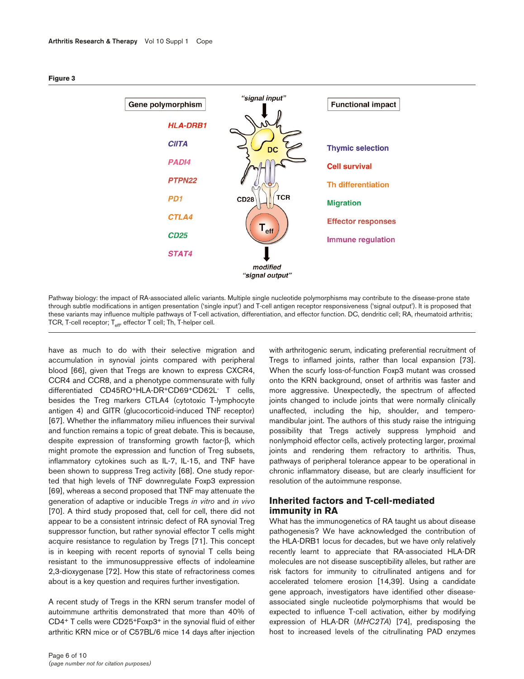

#### **Figure 3**

Pathway biology: the impact of RA-associated allelic variants. Multiple single nucleotide polymorphisms may contribute to the disease-prone state through subtle modifications in antigen presentation ('single input') and T-cell antigen receptor responsiveness ('signal output'). It is proposed that these variants may influence multiple pathways of T-cell activation, differentiation, and effector function. DC, dendritic cell; RA, rheumatoid arthritis; TCR, T-cell receptor;  $T_{\text{eff}}$ , effector T cell; Th, T-helper cell.

have as much to do with their selective migration and accumulation in synovial joints compared with peripheral blood [66], given that Tregs are known to express CXCR4, CCR4 and CCR8, and a phenotype commensurate with fully differentiated CD45RO+HLA-DR+CD69+CD62L- T cells, besides the Treg markers CTLA4 (cytotoxic T-lymphocyte antigen 4) and GITR (glucocorticoid-induced TNF receptor) [67]. Whether the inflammatory milieu influences their survival and function remains a topic of great debate. This is because, despite expression of transforming growth factor-β, which might promote the expression and function of Treg subsets, inflammatory cytokines such as IL-7, IL-15, and TNF have been shown to suppress Treg activity [68]. One study reported that high levels of TNF downregulate Foxp3 expression [69], whereas a second proposed that TNF may attenuate the generation of adaptive or inducible Tregs *in vitro* and *in vivo* [70]. A third study proposed that, cell for cell, there did not appear to be a consistent intrinsic defect of RA synovial Treg suppressor function, but rather synovial effector T cells might acquire resistance to regulation by Tregs [71]. This concept is in keeping with recent reports of synovial T cells being resistant to the immunosuppressive effects of indoleamine 2,3-dioxygenase [72]. How this state of refractoriness comes about is a key question and requires further investigation.

A recent study of Tregs in the KRN serum transfer model of autoimmune arthritis demonstrated that more than 40% of CD4+ T cells were CD25+Foxp3+ in the synovial fluid of either arthritic KRN mice or of C57BL/6 mice 14 days after injection

with arthritogenic serum, indicating preferential recruitment of Tregs to inflamed joints, rather than local expansion [73]. When the scurfy loss-of-function Foxp3 mutant was crossed onto the KRN background, onset of arthritis was faster and more aggressive. Unexpectedly, the spectrum of affected joints changed to include joints that were normally clinically unaffected, including the hip, shoulder, and temperomandibular joint. The authors of this study raise the intriguing possibility that Tregs actively suppress lymphoid and nonlymphoid effector cells, actively protecting larger, proximal joints and rendering them refractory to arthritis. Thus, pathways of peripheral tolerance appear to be operational in chronic inflammatory disease, but are clearly insufficient for resolution of the autoimmune response.

# **Inherited factors and T-cell-mediated immunity in RA**

What has the immunogenetics of RA taught us about disease pathogenesis? We have acknowledged the contribution of the HLA-DRB1 locus for decades, but we have only relatively recently learnt to appreciate that RA-associated HLA-DR molecules are not disease susceptibility alleles, but rather are risk factors for immunity to citrullinated antigens and for accelerated telomere erosion [14,39]. Using a candidate gene approach, investigators have identified other diseaseassociated single nucleotide polymorphisms that would be expected to influence T-cell activation, either by modifying expression of HLA-DR (*MHC2TA*) [74], predisposing the host to increased levels of the citrullinating PAD enzymes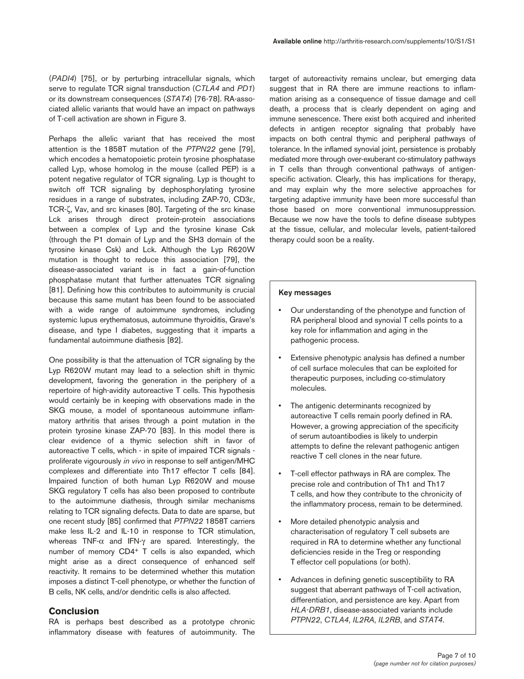(*PADI4*) [75], or by perturbing intracellular signals, which serve to regulate TCR signal transduction (*CTLA4* and *PD1*) or its downstream consequences (*STAT4*) [76-78]. RA-associated allelic variants that would have an impact on pathways of T-cell activation are shown in Figure 3.

Perhaps the allelic variant that has received the most attention is the 1858T mutation of the *PTPN22* gene [79], which encodes a hematopoietic protein tyrosine phosphatase called Lyp, whose homolog in the mouse (called PEP) is a potent negative regulator of TCR signaling. Lyp is thought to switch off TCR signaling by dephosphorylating tyrosine residues in a range of substrates, including ZAP-70, CD3ε, TCR-ζ, Vav, and src kinases [80]. Targeting of the src kinase Lck arises through direct protein-protein associations between a complex of Lyp and the tyrosine kinase Csk (through the P1 domain of Lyp and the SH3 domain of the tyrosine kinase Csk) and Lck. Although the Lyp R620W mutation is thought to reduce this association [79], the disease-associated variant is in fact a gain-of-function phosphatase mutant that further attenuates TCR signaling [81]. Defining how this contributes to autoimmunity is crucial because this same mutant has been found to be associated with a wide range of autoimmune syndromes, including systemic lupus erythematosus, autoimmune thyroiditis, Grave's disease, and type I diabetes, suggesting that it imparts a fundamental autoimmune diathesis [82].

One possibility is that the attenuation of TCR signaling by the Lyp R620W mutant may lead to a selection shift in thymic development, favoring the generation in the periphery of a repertoire of high-avidity autoreactive T cells. This hypothesis would certainly be in keeping with observations made in the SKG mouse, a model of spontaneous autoimmune inflammatory arthritis that arises through a point mutation in the protein tyrosine kinase ZAP-70 [83]. In this model there is clear evidence of a thymic selection shift in favor of autoreactive T cells, which - in spite of impaired TCR signals proliferate vigourously *in vivo* in response to self antigen/MHC complexes and differentiate into Th17 effector T cells [84]. Impaired function of both human Lyp R620W and mouse SKG regulatory T cells has also been proposed to contribute to the autoimmune diathesis, through similar mechanisms relating to TCR signaling defects. Data to date are sparse, but one recent study [85] confirmed that *PTPN22* 1858T carriers make less IL-2 and IL-10 in response to TCR stimulation, whereas TNF-α and IFN-γ are spared. Interestingly, the number of memory CD4+ T cells is also expanded, which might arise as a direct consequence of enhanced self reactivity. It remains to be determined whether this mutation imposes a distinct T-cell phenotype, or whether the function of B cells, NK cells, and/or dendritic cells is also affected.

# **Conclusion**

RA is perhaps best described as a prototype chronic inflammatory disease with features of autoimmunity. The

target of autoreactivity remains unclear, but emerging data suggest that in RA there are immune reactions to inflammation arising as a consequence of tissue damage and cell death, a process that is clearly dependent on aging and immune senescence. There exist both acquired and inherited defects in antigen receptor signaling that probably have impacts on both central thymic and peripheral pathways of tolerance. In the inflamed synovial joint, persistence is probably mediated more through over-exuberant co-stimulatory pathways in T cells than through conventional pathways of antigenspecific activation. Clearly, this has implications for therapy, and may explain why the more selective approaches for targeting adaptive immunity have been more successful than those based on more conventional immunosuppression. Because we now have the tools to define disease subtypes at the tissue, cellular, and molecular levels, patient-tailored therapy could soon be a reality.

### **Key messages**

- Our understanding of the phenotype and function of RA peripheral blood and synovial T cells points to a key role for inflammation and aging in the pathogenic process.
- Extensive phenotypic analysis has defined a number of cell surface molecules that can be exploited for therapeutic purposes, including co-stimulatory molecules.
- The antigenic determinants recognized by autoreactive T cells remain poorly defined in RA. However, a growing appreciation of the specificity of serum autoantibodies is likely to underpin attempts to define the relevant pathogenic antigen reactive T cell clones in the near future.
- T-cell effector pathways in RA are complex. The precise role and contribution of Th1 and Th17 T cells, and how they contribute to the chronicity of the inflammatory process, remain to be determined.
- More detailed phenotypic analysis and characterisation of regulatory T cell subsets are required in RA to determine whether any functional deficiencies reside in the Treg or responding T effector cell populations (or both).
- Advances in defining genetic susceptibility to RA suggest that aberrant pathways of T-cell activation, differentiation, and persistence are key. Apart from *HLA-DRB1*, disease-associated variants include *PTPN22*, *CTLA4*, *IL2RA*, *IL2RB*, and *STAT4*.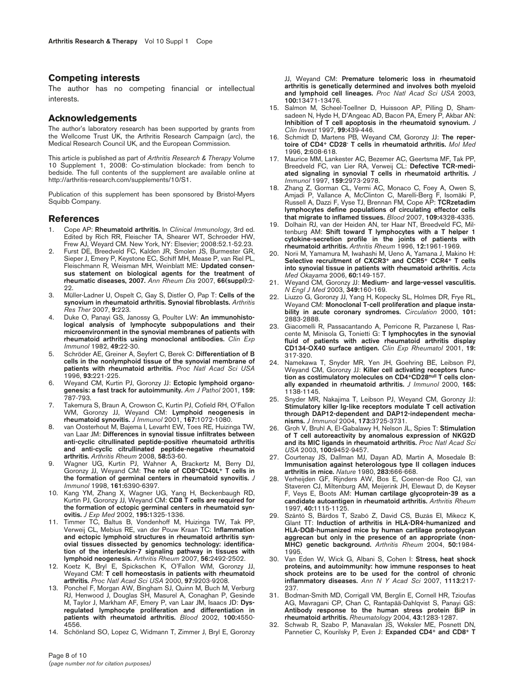### **Competing interests**

The author has no competing financial or intellectual interests.

### **Acknowledgements**

The author's laboratory research has been supported by grants from the Wellcome Trust UK, the Arthritis Research Campaign (*arc*), the Medical Research Council UK, and the European Commission.

This article is published as part of *Arthritis Research & Therapy* Volume 10 Supplement 1, 2008: Co-stimulation blockade: from bench to bedside. The full contents of the supplement are available online at http://arthritis-research.com/supplements/10/S1.

Publication of this supplement has been sponsored by Bristol-Myers Squibb Company.

### **References**

- 1. Cope AP: **Rheumatoid arthritis.** In *Clinical Immunology*, 3rd ed. Edited by Rich RR, Fleischer TA, Shearer WT, Schroeder HW, Frew AJ, Weyard CM. New York, NY: Elsevier; 2008:52.1-52.23.
- Furst DE, Breedveld FC, Kalden JR, Smolen JS, Burmester GR, Sieper J, Emery P, Keystone EC, Schiff MH, Mease P, van Riel PL, Fleischmann R, Weisman MH, Weinblatt ME: **Updated consensus statement on biological agents for the treatment of rheumatic diseases, 2007.** *Ann Rheum Dis* 2007, **66(suppl):**2- 22
- 3. Müller-Ladner U, Ospelt C, Gay S, Distler O, Pap T: **Cells of the synovium in rheumatoid arthritis. Synovial fibroblasts.** *Arthritis Res Ther* 2007, **9:**223.
- 4. Duke O, Panayi GS, Janossy G, Poulter LW: **An immunohistological analysis of lymphocyte subpopulations and their microenvironment in the synovial membranes of patients with rheumatoid arthritis using monoclonal antibodies.** *Clin Exp Immunol* 1982, **49:**22-30.
- 5. Schröder AE, Greiner A, Seyfert C, Berek C: **Differentiation of B cells in the nonlymphoid tissue of the synovial membrane of patients with rheumatoid arthritis.** *Proc Natl Acad Sci USA* 1996, **93:**221-225.
- 6. Weyand CM, Kurtin PJ, Goronzy JJ: **Ectopic lymphoid organogenesis: a fast track for autoimmunity.** *Am J Pathol* 2001, **159:** 787-793.
- 7. Takemura S, Braun A, Crowson C, Kurtin PJ, Cofield RH, O'Fallon WM, Goronzy JJ, Weyand CM: **Lymphoid neogenesis in rheumatoid synovitis.** *J Immunol* 2001, **167:**1072-1080.
- 8. van Oosterhout M, Bajema I, Levarht EW, Toes RE, Huizinga TW, van Laar JM: **Differences in synovial tissue infiltrates between anti-cyclic citrullinated peptide-positive rheumatoid arthritis and anti-cyclic citrullinated peptide-negative rheumatoid arthritis.** *Arthritis Rheum* 2008, **58:**53-60.
- 9. Wagner UG, Kurtin PJ, Wahner A, Brackertz M, Berry DJ, Goronzy JJ, Weyand CM: **The role of CD8+CD40L+ T cells in the formation of germinal centers in rheumatoid synovitis.** *J Immunol* 1998, **161:**6390-6397.
- 10. Kang YM, Zhang X, Wagner UG, Yang H, Beckenbaugh RD, Kurtin PJ, Goronzy JJ, Weyand CM: **CD8 T cells are required for the formation of ectopic germinal centers in rheumatoid synovitis.** *J Exp Med* 2002, **195:**1325-1336.
- 11. Timmer TC, Baltus B, Vondenhoff M, Huizinga TW, Tak PP, Verweij CL, Mebius RE, van der Pouw Kraan TC: **Inflammation and ectopic lymphoid structures in rheumatoid arthritis synovial tissues dissected by genomics technology: identification of the interleukin-7 signaling pathway in tissues with lymphoid neogenesis.** *Arthritis Rheum* 2007, **56:**2492-2502.
- 12. Koetz K, Bryl E, Spickschen K, O'Fallon WM, Goronzy JJ, Weyand CM: **T cell homeostasis in patients with rheumatoid arthritis.** *Proc Natl Acad Sci USA* 2000, **97:**9203-9208.
- 13. Ponchel F, Morgan AW, Bingham SJ, Quinn M, Buch M, Verburg RJ, Henwood J, Douglas SH, Masurel A, Conaghan P, Gesinde M, Taylor J, Markham AF, Emery P, van Laar JM, Isaacs JD: **Dysregulated lymphocyte proliferation and differentiation in patients with rheumatoid arthritis.** *Blood* 2002, **100:**4550- 4556.
- 14. Schönland SO, Lopez C, Widmann T, Zimmer J, Bryl E, Goronzy

JJ, Weyand CM: **Premature telomeric loss in rheumatoid arthritis is genetically determined and involves both myeloid and lymphoid cell lineages.** *Proc Natl Acad Sci USA* 2003, **100:**13471-13476.

- 15. Salmon M, Scheel-Toellner D, Huissoon AP, Pilling D, Shamsadeen N, Hyde H, D'Angeac AD, Bacon PA, Emery P, Akbar AN: **Inhibition of T cell apoptosis in the rheumatoid synovium.** *J Clin Invest* 1997, **99:**439-446.
- 16. Schmidt D, Martens PB, Weyand CM, Goronzy JJ: **The repertoire of CD4+ CD28- T cells in rheumatoid arthritis.** *Mol Med* 1996, **2:**608-618.
- 17. Maurice MM, Lankester AC, Bezemer AC, Geertsma MF, Tak PP, Breedveld FC, van Lier RA, Verweij CL: **Defective TCR-mediated signaling in synovial T cells in rheumatoid arthritis.** *J Immunol* 1997, **159:**2973-2978.
- 18. Zhang Z, Gorman CL, Vermi AC, Monaco C, Foey A, Owen S, Amjadi P, Vallance A, McClinton C, Marelli-Berg F, Isomäki P, Russell A, Dazzi F, Vyse TJ, Brennan FM, Cope AP: **TCRzetadim lymphocytes define populations of circulating effector cells that migrate to inflamed tissues.** *Blood* 2007, **109:**4328-4335.
- 19. Dolhain RJ, van der Heiden AN, ter Haar NT, Breedveld FC, Miltenburg AM: **Shift toward T lymphocytes with a T helper 1 cytokine-secretion profile in the joints of patients with rheumatoid arthritis.** *Arthritis Rheum* 1996, **12:**1961-1969.
- 20. Norii M, Yamamura M, Iwahashi M, Ueno A, Yamana J, Makino H: **Selective recruitment of CXCR3+ and CCR5+ CCR4+ T cells into synovial tissue in patients with rheumatoid arthritis.** *Acta Med Okayama* 2006, **60:**149-157.
- 21. Weyand CM, Goronzy JJ: **Medium- and large-vessel vasculitis.** *N Engl J Med* 2003, **349:**160-169.
- 22. Liuzzo G, Goronzy JJ, Yang H, Kopecky SL, Holmes DR, Frye RL, Weyand CM: **Monoclonal T-cell proliferation and plaque instability in acute coronary syndromes.** *Circulation* 2000, **101:** 2883-2888.
- 23. Giacomelli R, Passacantando A, Perricone R, Parzanese I, Rascente M, Minisola G, Tonietti G: **T lymphocytes in the synovial fluid of patients with active rheumatoid arthritis display CD134-OX40 surface antigen.** *Clin Exp Rheumatol* 2001, **19:** 317-320.
- 24. Namekawa T, Snyder MR, Yen JH, Goehring BE, Leibson PJ, Weyand CM, Goronzy JJ: **Killer cell activating receptors function as costimulatory molecules on CD4+CD28null T cells clonally expanded in rheumatoid arthritis.** *J Immunol* 2000, **165:** 1138-1145.
- 25. Snyder MR, Nakajima T, Leibson PJ, Weyand CM, Goronzy JJ: **Stimulatory killer Ig-like receptors modulate T cell activation through DAP12-dependent and DAP12-independent mechanisms.** *J Immunol* 2004, **173:**3725-3731.
- 26. Groh V, Bruhl A, El-Gabalawy H, Nelson JL, Spies T: **Stimulation of T cell autoreactivity by anomalous expression of NKG2D and its MIC ligands in rheumatoid arthritis.** *Proc Natl Acad Sci USA* 2003, **100:**9452-9457.
- 27. Courtenay JS, Dallman MJ, Dayan AD, Martin A, Mosedale B: **Immunisation against heterologous type II collagen induces arthritis in mice.** *Nature* 1980, **283:**666-668.
- 28. Verheijden GF, Rijnders AW, Bos E, Coenen-de Roo CJ, van Staveren CJ, Miltenburg AM, Meijerink JH, Elewaut D, de Keyser F, Veys E, Boots AM: **Human cartilage glycoprotein-39 as a candidate autoantigen in rheumatoid arthritis.** *Arthritis Rheum* 1997, **40:**1115-1125.
- Szántó S, Bárdos T, Szabó Z, David CS, Buzás El, Mikecz K Glant TT: **Induction of arthritis in HLA-DR4-humanized and HLA-DQ8-humanized mice by human cartilage proteoglycan aggrecan but only in the presence of an appropriate (non-MHC) genetic background.** *Arthritis Rheum* 2004, **50:**1984- 1995.
- 30. Van Eden W, Wick G, Albani S, Cohen I: **Stress, heat shock proteins, and autoimmunity: how immune responses to heat shock proteins are to be used for the control of chronic inflammatory diseases.** *Ann N Y Acad Sci* 2007, **1113:**217- 237.
- 31. Bodman-Smith MD, Corrigall VM, Berglin E, Cornell HR, Tzioufas AG, Mavragani CP, Chan C, Rantapää-Dahlqvist S, Panayi GS: **Antibody response to the human stress protein BiP in rheumatoid arthritis.** *Rheumatology* 2004, **43:**1283-1287.
- 32. Schwab R, Szabo P, Manavalan JS, Weksler ME, Posnett DN, Pannetier C, Kourilsky P, Even J: **Expanded CD4+ and CD8+ T**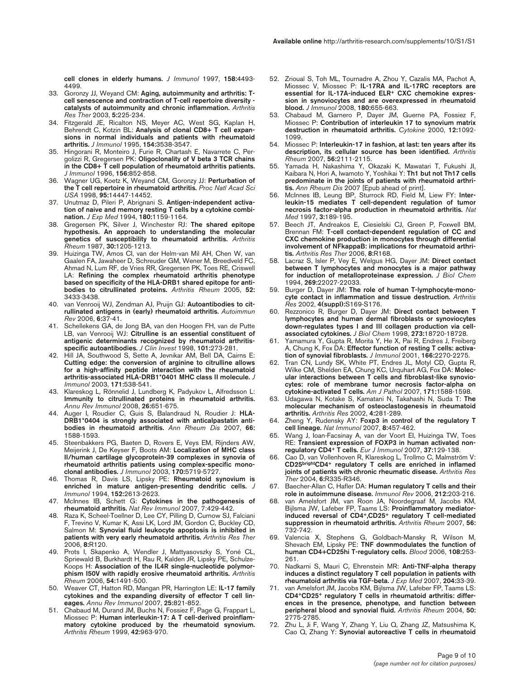**cell clones in elderly humans.** *J Immunol* 1997, **158:**4493- 4499.

- 33. Goronzy JJ, Weyand CM: **Aging, autoimmunity and arthritis: Tcell senescence and contraction of T-cell repertoire diversity catalysts of autoimmunity and chronic inflammation.** *Arthritis Res Ther* 2003, **5:**225-234.
- 34. Fitzgerald JE, Ricalton NS, Meyer AC, West SG, Kaplan H, Behrendt C, Kotzin BL: **Analysis of clonal CD8+ T cell expansions in normal individuals and patients with rheumatoid arthritis.** *J Immunol* 1995, **154:**3538-3547.
- 35. Hingorani R, Monteiro J, Furie R, Chartash E, Navarrete C, Pergolizzi R, Gregersen PK: **Oligoclonality of V beta 3 TCR chains in the CD8+ T cell population of rheumatoid arthritis patients.** *J Immunol* 1996, **156:**852-858.
- 36. Wagner UG, Koetz K, Weyand CM, Goronzy JJ: **Perturbation of the T cell repertoire in rheumatoid arthritis.** *Proc Natl Acad Sci USA* 1998, **95:**14447-14452.
- 37. Unutmaz D, Pileri P, Abrignani S. **Antigen-independent activation of naive and memory resting T cells by a cytokine combination.** *J Exp Med* 1994, **180:**1159-1164.
- 38. Gregersen PK, Silver J, Winchester RJ: **The shared epitope hypothesis. An approach to understanding the molecular genetics of susceptibility to rheumatoid arthritis.** *Arthritis Rheum* 1987, **30:**1205-1213.
- 39. Huizinga TW, Amos CI, van der Helm-van Mil AH, Chen W, van Gaalen FA, Jawaheer D, Schreuder GM, Wener M, Breedveld FC, Ahmad N, Lum RF, de Vries RR, Gregersen PK, Toes RE, Criswell LA: **Refining the complex rheumatoid arthritis phenotype based on specificity of the HLA-DRB1 shared epitope for antibodies to citrullinated proteins.** *Arthritis Rheum* 2005, **52:** 3433-3438.
- 40. van Venrooij WJ, Zendman AJ, Pruijn GJ: **Autoantibodies to citrullinated antigens in (early) rheumatoid arthritis.** *Autoimmun Rev* 2006, **6:**37-41.
- 41. Schellekens GA, de Jong BA, van den Hoogen FH, van de Putte LB, van Venrooij WJ: **Citrulline is an essential constituent of antigenic determinants recognized by rheumatoid arthritisspecific autoantibodies.** *J Clin Invest* 1998, **101:**273-281.
- 42. Hill JA, Southwood S, Sette A, Jevnikar AM, Bell DA, Cairns E: **Cutting edge: the conversion of arginine to citrulline allows for a high-affinity peptide interaction with the rheumatoid arthritis-associated HLA-DRB1\*0401 MHC class II molecule.** *J Immunol* 2003, **171:**538-541.
- 43. Klareskog L, Rönnelid J, Lundberg K, Padyukov L, Alfredsson L: **Immunity to citrullinated proteins in rheumatoid arthritis.** *Annu Rev Immunol* 2008, **26:**651-675.
- Auger I, Roudier C, Guis S, Balandraud N, Roudier J: HLA-**DRB1\*0404 is strongly associated with anticalpastatin antibodies in rheumatoid arthritis.** *Ann Rheum Dis* 2007, **66:** 1588-1593.
- 45. Steenbakkers PG, Baeten D, Rovers E, Veys EM, Rijnders AW, Meijerink J, De Keyser F, Boots AM: **Localization of MHC class II/human cartilage glycoprotein-39 complexes in synovia of rheumatoid arthritis patients using complex-specific monoclonal antibodies.** *J Immunol* 2003, **170:**5719-5727.
- 46. Thomas R, Davis LS, Lipsky PE: **Rheumatoid synovium is enriched in mature antigen-presenting dendritic cells.** *J Immunol* 1994, **152:**2613-2623.
- 47. McInnes IB, Schett G: **Cytokines in the pathogenesis of rheumatoid arthritis.** *Nat Rev Immunol* 2007, 7:429-442.
- 48. Raza K, Scheel-Toellner D, Lee CY, Pilling D, Curnow SJ, Falciani F, Trevino V, Kumar K, Assi LK, Lord JM, Gordon C, Buckley CD, Salmon M: **Synovial fluid leukocyte apoptosis is inhibited in patients with very early rheumatoid arthritis.** *Arthritis Res Ther* 2006, **8:**R120.
- 49. Prots I, Skapenko A, Wendler J, Mattyasovszky S, Yoné CL, Spriewald B, Burkhardt H, Rau R, Kalden JR, Lipsky PE, Schulze-Koops H: **Association of the IL4R single-nucleotide polymorphism I50V with rapidly erosive rheumatoid arthritis.** *Arthritis Rheum* 2006, **54:**1491-500.
- 50. Weaver CT, Hatton RD, Mangan PR, Harrington LE: **IL-17 family cytokines and the expanding diversity of effector T cell lineages.** *Annu Rev Immunol* 2007, **25:**821-852.
- 51. Chabaud M, Durand JM, Buchs N, Fossiez F, Page G, Frappart L, Miossec P: **Human interleukin-17: A T cell-derived proinflammatory cytokine produced by the rheumatoid synovium.** *Arthritis Rheum* 1999, **42:**963-970.
- 52. Zrioual S, Toh ML, Tournadre A, Zhou Y, Cazalis MA, Pachot A, Miossec V, Miossec P: **IL-17RA and IL-17RC receptors are essential for IL-17A-induced ELR+ CXC chemokine expression in synoviocytes and are overexpressed in rheumatoid blood.** *J Immunol* 2008, **180:**655-663.
- 53. Chabaud M, Garnero P, Dayer JM, Guerne PA, Fossiez F, Miossec P: **Contribution of interleukin 17 to synovium matrix destruction in rheumatoid arthritis.** *Cytokine* 2000, **12:**1092- 1099.
- 54. Miossec P: **Interleukin-17 in fashion, at last: ten years after its description, its cellular source has been identified.** *Arthritis Rheum* 2007, **56:**2111-2115.
- 55. Yamada H, Nakashima Y, Okazaki K, Mawatari T, Fukushi JI, Kaibara N, Hori A, Iwamoto Y, Yoshikai Y: **Th1 but not Th17 cells predominate in the joints of patients with rheumatoid arthritis.** *Ann Rheum Dis* 2007 [Epub ahead of print].
- 56. McInnes IB, Leung BP, Sturrock RD, Field M, Liew FY: **Interleukin-15 mediates T cell-dependent regulation of tumor necrosis factor-alpha production in rheumatoid arthritis.** *Nat Med* 1997, **3:**189-195.
- 57. Beech JT, Andreakos E, Ciesielski CJ, Green P, Foxwell BM, Brennan FM: **T-cell contact-dependent regulation of CC and CXC chemokine production in monocytes through differential involvement of NFkappaB: implications for rheumatoid arthritis.** *Arthritis Res Ther* 2006, **8:**R168.
- 58. Lacraz S, Isler P, Vey E, Welgus HG, Dayer JM: **Direct contact between T lymphocytes and monocytes is a major pathway for induction of metalloproteinase expression.** *J Biol Chem* 1994, **269:**22027-22033.
- 59. Burger D, Dayer JM: **The role of human T-lymphocyte-monocyte contact in inflammation and tissue destruction.** *Arthritis Res* 2002, **4(suppl):**S169-S176.
- 60. Rezzonico R, Burger D, Dayer JM: **Direct contact between T lymphocytes and human dermal fibroblasts or synoviocytes down-regulates types I and III collagen production via cellassociated cytokines.** *J Biol Chem* 1998, **273:**18720-18728.
- 61. Yamamura Y, Gupta R, Morita Y, He X, Pai R, Endres J, Freiberg A, Chung K, Fox DA: **Effector function of resting T cells: activation of synovial fibroblasts.** *J Immunol* 2001, **166:**2270-2275.
- 62. Tran CN, Lundy SK, White PT, Endres JL, Motyl CD, Gupta R, Wilke CM, Shelden EA, Chung KC, Urquhart AG, Fox DA: **Molecular interactions between T cells and fibroblast-like synoviocytes: role of membrane tumor necrosis factor-alpha on cytokine-activated T cells.** *Am J Pathol* 2007, **171:**1588-1598.
- 63. Udagawa N, Kotake S, Kamatani N, Takahashi N, Suda T: **The molecular mechanism of osteoclastogenesis in rheumatoid arthritis.** *Arthritis Res* 2002, **4:**281-289.
- 64. Zheng Y, Rudensky AY: **Foxp3 in control of the regulatory T cell lineage.** *Nat Immunol* 2007, **8:**457-462.
- 65. Wang J, Ioan-Facsinay A, van der Voort EI, Huizinga TW, Toes RE: **Transient expression of FOXP3 in human activated nonregulatory CD4+ T cells.** *Eur J Immunol* 2007, **37:**129-138.
- 66. Cao D, van Vollenhoven R, Klareskog L, Trollmo C, Malmström V: **CD25brightCD4+ regulatory T cells are enriched in inflamed joints of patients with chronic rheumatic disease.** *Arthritis Res Ther* 2004, **6:**R335-R346.
- 67. Baecher-Allan C, Hafler DA: **Human regulatory T cells and their role in autoimmune disease.** *Immunol Rev* 2006, **212:**203-216.
- 68. van Amelsfort JM, van Roon JA, Noordegraaf M, Jacobs KM, Bijlsma JW, Lafeber FP, Taams LS: **Proinflammatory mediatorinduced reversal of CD4+,CD25+ regulatory T cell-mediated suppression in rheumatoid arthritis.** *Arthritis Rheum* 2007, **56:** 732-742.
- 69. Valencia X, Stephens G, Goldbach-Mansky R, Wilson M, Shevach EM, Lipsky PE: **TNF downmodulates the function of human CD4+CD25hi T-regulatory cells.** *Blood* 2006, **108:**253- 261.
- 70. Nadkarni S, Mauri C, Ehrenstein MR: **Anti-TNF-alpha therapy induces a distinct regulatory T cell population in patients with rheumatoid arthritis via TGF-beta.** *J Exp Med* 2007, **204:**33-39.
- van Amelsfort JM, Jacobs KM, Bijlsma JW, Lafeber FP, Taams LS: **CD4+CD25+ regulatory T cells in rheumatoid arthritis: differences in the presence, phenotype, and function between peripheral blood and synovial fluid.** *Arthritis Rheum* 2004, **50:** 2775-2785.
- 72. Zhu L, Ji F, Wang Y, Zhang Y, Liu Q, Zhang JZ, Matsushima K, Cao Q, Zhang Y: **Synovial autoreactive T cells in rheumatoid**